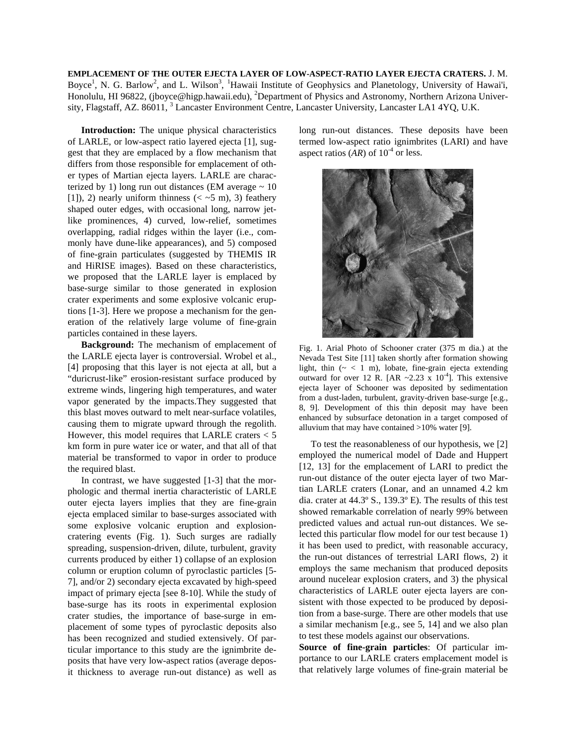**EMPLACEMENT OF THE OUTER EJECTA LAYER OF LOW-ASPECT-RATIO LAYER EJECTA CRATERS.** J. M. Boyce<sup>1</sup>, N. G. Barlow<sup>2</sup>, and L. Wilson<sup>3</sup>, <sup>1</sup>Hawaii Institute of Geophysics and Planetology, University of Hawai'i, Honolulu, HI 96822, (jboyce@higp.hawaii.edu), <sup>2</sup>Department of Physics and Astronomy, Northern Arizona University, Flagstaff, AZ. 86011, <sup>3</sup> Lancaster Environment Centre, Lancaster University, Lancaster LA1 4YQ, U.K.

**Introduction:** The unique physical characteristics of LARLE, or low-aspect ratio layered ejecta [1], suggest that they are emplaced by a flow mechanism that differs from those responsible for emplacement of other types of Martian ejecta layers. LARLE are characterized by 1) long run out distances (EM average  $\sim 10$ [1]), 2) nearly uniform thinness ( $\langle \sim 5 \text{ m} \rangle$ , 3) feathery shaped outer edges, with occasional long, narrow jetlike prominences, 4) curved, low-relief, sometimes overlapping, radial ridges within the layer (i.e., commonly have dune-like appearances), and 5) composed of fine-grain particulates (suggested by THEMIS IR and HiRISE images). Based on these characteristics, we proposed that the LARLE layer is emplaced by base-surge similar to those generated in explosion crater experiments and some explosive volcanic eruptions [1-3]. Here we propose a mechanism for the generation of the relatively large volume of fine-grain particles contained in these layers.

**Background:** The mechanism of emplacement of the LARLE ejecta layer is controversial. Wrobel et al., [4] proposing that this layer is not ejecta at all, but a "duricrust-like" erosion-resistant surface produced by extreme winds, lingering high temperatures, and water vapor generated by the impacts.They suggested that this blast moves outward to melt near-surface volatiles, causing them to migrate upward through the regolith. However, this model requires that LARLE craters < 5 km form in pure water ice or water, and that all of that material be transformed to vapor in order to produce the required blast.

In contrast, we have suggested [1-3] that the morphologic and thermal inertia characteristic of LARLE outer ejecta layers implies that they are fine-grain ejecta emplaced similar to base-surges associated with some explosive volcanic eruption and explosioncratering events (Fig. 1). Such surges are radially spreading, suspension-driven, dilute, turbulent, gravity currents produced by either 1) collapse of an explosion column or eruption column of pyroclastic particles [5- 7], and/or 2) secondary ejecta excavated by high-speed impact of primary ejecta [see 8-10]. While the study of base-surge has its roots in experimental explosion crater studies, the importance of base-surge in emplacement of some types of pyroclastic deposits also has been recognized and studied extensively. Of particular importance to this study are the ignimbrite deposits that have very low-aspect ratios (average deposit thickness to average run-out distance) as well as

long run-out distances. These deposits have been termed low-aspect ratio ignimbrites (LARI) and have aspect ratios  $(AR)$  of  $10^{-4}$  or less.



Fig. 1. Arial Photo of Schooner crater (375 m dia.) at the Nevada Test Site [11] taken shortly after formation showing light, thin  $({\sim} < 1$  m), lobate, fine-grain ejecta extending outward for over 12 R. [AR  $\sim$  2.23 x 10<sup>-4</sup>]. This extensive ejecta layer of Schooner was deposited by sedimentation from a dust-laden, turbulent, gravity-driven base-surge [e.g., 8, 9]. Development of this thin deposit may have been enhanced by subsurface detonation in a target composed of alluvium that may have contained  $>10\%$  water [9].

 To test the reasonableness of our hypothesis, we [2] employed the numerical model of Dade and Huppert [12, 13] for the emplacement of LARI to predict the run-out distance of the outer ejecta layer of two Martian LARLE craters (Lonar, and an unnamed 4.2 km dia. crater at 44.3º S., 139.3º E). The results of this test showed remarkable correlation of nearly 99% between predicted values and actual run-out distances. We selected this particular flow model for our test because 1) it has been used to predict, with reasonable accuracy, the run-out distances of terrestrial LARI flows, 2) it employs the same mechanism that produced deposits around nucelear explosion craters, and 3) the physical characteristics of LARLE outer ejecta layers are consistent with those expected to be produced by deposition from a base-surge. There are other models that use a similar mechanism [e.g., see 5, 14] and we also plan to test these models against our observations.

**Source of fine-grain particles**: Of particular importance to our LARLE craters emplacement model is that relatively large volumes of fine-grain material be